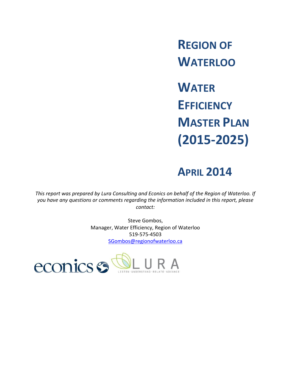**REGION OF WATERLOO**

**WATER EFFICIENCY MASTER PLAN (2015-2025)**

# **APRIL 2014**

*This report was prepared by Lura Consulting and Econics on behalf of the Region of Waterloo. If you have any questions or comments regarding the information included in this report, please contact:*

> Steve Gombos, Manager, Water Efficiency, Region of Waterloo 519-575-4503 [SGombos@regionofwaterloo.ca](mailto:SGombos@regionofwaterloo.ca)

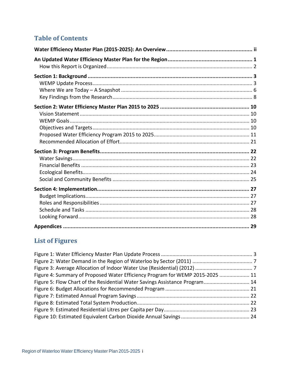## **Table of Contents**

## **List of Figures**

| Figure 4: Summary of Proposed Water Efficiency Program for WEMP 2015-2025  11 |  |
|-------------------------------------------------------------------------------|--|
| Figure 5: Flow Chart of the Residential Water Savings Assistance Program 14   |  |
|                                                                               |  |
|                                                                               |  |
|                                                                               |  |
|                                                                               |  |
|                                                                               |  |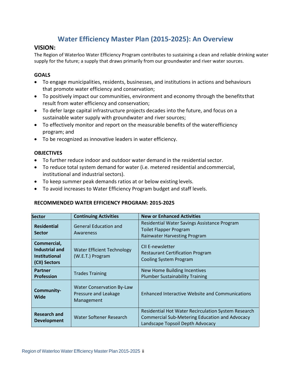## **Water Efficiency Master Plan (2015-2025): An Overview**

## <span id="page-2-0"></span>**VISION:**

The Region of Waterloo Water Efficiency Program contributes to sustaining a clean and reliable drinking water supply for the future; a supply that draws primarily from our groundwater and river water sources.

### **GOALS**

- To engage municipalities, residents, businesses, and institutions in actions and behaviours that promote water efficiency and conservation;
- To positively impact our communities, environment and economy through the benefitsthat result from water efficiency and conservation;
- To defer large capital infrastructure projects decades into the future, and focus on a sustainable water supply with groundwater and river sources;
- To effectively monitor and report on the measurable benefits of the waterefficiency program; and
- To be recognized as innovative leaders in water efficiency.

### **OBJECTIVES**

- To further reduce indoor and outdoor water demand in the residential sector.
- To reduce total system demand for water (i.e. metered residential andcommercial, institutional and industrial sectors).
- To keep summer peak demands ratios at or below existing levels.
- To avoid increases to Water Efficiency Program budget and staff levels.

### **RECOMMENDED WATER EFFICIENCY PROGRAM: 2015-2025**

| <b>Sector</b>                                                                 | <b>Continuing Activities</b>                                           | <b>New or Enhanced Activities</b>                                                                                                                |  |
|-------------------------------------------------------------------------------|------------------------------------------------------------------------|--------------------------------------------------------------------------------------------------------------------------------------------------|--|
| <b>Residential</b><br><b>Sector</b>                                           | <b>General Education and</b><br>Awareness                              | Residential Water Savings Assistance Program<br><b>Toilet Flapper Program</b><br><b>Rainwater Harvesting Program</b>                             |  |
| Commercial,<br><b>Industrial and</b><br><b>Institutional</b><br>(CII) Sectors | <b>Water Efficient Technology</b><br>(W.E.T.) Program                  | CII F-newsletter<br><b>Restaurant Certification Program</b><br>Cooling System Program                                                            |  |
| <b>Partner</b><br><b>Profession</b>                                           | <b>Trades Training</b>                                                 | New Home Building Incentives<br><b>Plumber Sustainability Training</b>                                                                           |  |
| Community-<br>Wide                                                            | <b>Water Conservation By-Law</b><br>Pressure and Leakage<br>Management | <b>Enhanced Interactive Website and Communications</b>                                                                                           |  |
| <b>Research and</b><br><b>Development</b>                                     | Water Softener Research                                                | Residential Hot Water Recirculation System Research<br><b>Commercial Sub-Metering Education and Advocacy</b><br>Landscape Topsoil Depth Advocacy |  |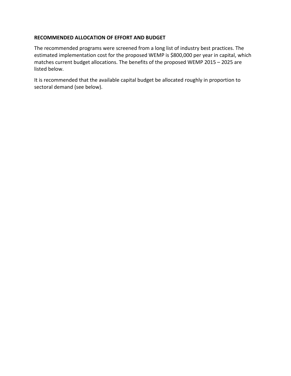#### **RECOMMENDED ALLOCATION OF EFFORT AND BUDGET**

The recommended programs were screened from a long list of industry best practices. The estimated implementation cost for the proposed WEMP is \$800,000 per year in capital, which matches current budget allocations. The benefits of the proposed WEMP 2015 – 2025 are listed below.

It is recommended that the available capital budget be allocated roughly in proportion to sectoral demand (see below).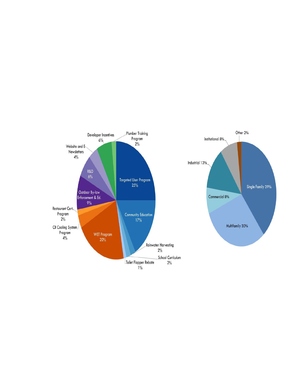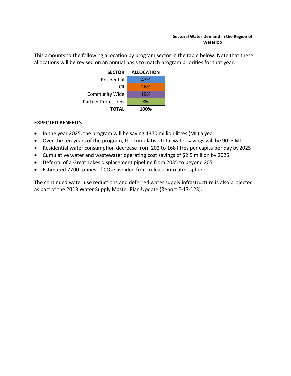This amounts to the following allocation by program sector in the table below. Note that these allocations will be revised on an annual basis to match program priorities for that year.



## **EXPECTED BENEFITS**

- In the year 2025, the program will be saving 1370 million litres (ML) a year
- Over the ten years of the program, the cumulative total water savings will be 9023 ML
- Residential water consumption decrease from 202 to 168 litres per capita per day by2025
- Cumulative water and wastewater operating cost savings of \$2.5 million by 2025
- Deferral of a Great Lakes displacement pipeline from 2035 to beyond 2051
- **•** Estimated 7700 tonnes of  $CO<sub>2</sub>e$  avoided from release into atmosphere

The continued water use reductions and deferred water supply infrastructure is also projected as part of the 2013 Water Supply Master Plan Update (Report E-13-123).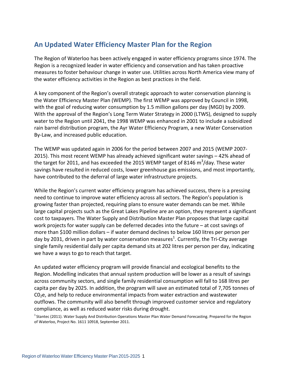## <span id="page-6-0"></span>**An Updated Water Efficiency Master Plan for the Region**

The Region of Waterloo has been actively engaged in water efficiency programs since 1974. The Region is a recognized leader in water efficiency and conservation and has taken proactive measures to foster behaviour change in water use. Utilities across North America view many of the water efficiency activities in the Region as best practices in the field.

A key component of the Region's overall strategic approach to water conservation planning is the Water Efficiency Master Plan (WEMP). The first WEMP was approved by Council in 1998, with the goal of reducing water consumption by 1.5 million gallons per day (MGD) by 2009. With the approval of the Region's Long Term Water Strategy in 2000 (LTWS), designed to supply water to the Region until 2041, the 1998 WEMP was enhanced in 2001 to include a subsidized rain barrel distribution program, the Ayr Water Efficiency Program, a new Water Conservation By-Law, and increased public education.

The WEMP was updated again in 2006 for the period between 2007 and 2015 (WEMP 2007- 2015). This most recent WEMP has already achieved significant water savings – 42% ahead of the target for 2011, and has exceeded the 2015 WEMP target of 8146  $\text{m}^3\text{/day}$ . These water savings have resulted in reduced costs, lower greenhouse gas emissions, and most importantly, have contributed to the deferral of large water infrastructure projects.

While the Region's current water efficiency program has achieved success, there is a pressing need to continue to improve water efficiency across all sectors. The Region's population is growing faster than projected, requiring plans to ensure water demands can be met. While large capital projects such as the Great Lakes Pipeline are an option, they represent a significant cost to taxpayers. The Water Supply and Distribution Master Plan proposes that large capital work projects for water supply can be deferred decades into the future – at cost savings of more than \$100 million dollars – if water demand declines to below 160 litres per person per day by 2031, driven in part by water conservation measures<sup>1</sup>. Currently, the Tri-City average single family residential daily per capita demand sits at 202 litres per person per day, indicating we have a ways to go to reach that target.

An updated water efficiency program will provide financial and ecological benefits to the Region. Modelling indicates that annual system production will be lower as a result of savings across community sectors, and single family residential consumption will fall to 168 litres per capita per day by 2025. In addition, the program will save an estimated total of 7,705 tonnes of  $CO<sub>2</sub>e$ , and help to reduce environmental impacts from water extraction and wastewater outflows. The community will also benefit through improved customer service and regulatory compliance, as well as reduced water risks during drought.

 $1$ Stantec (2011). Water Supply And Distribution Operations Master Plan Water Demand Forecasting. Prepared for the Region of Waterloo, Project No. 1611 10918, September 2011.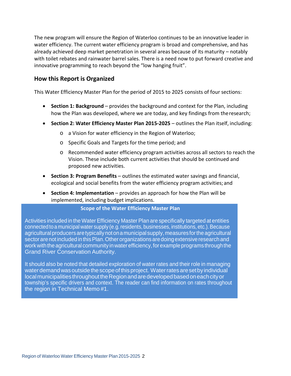The new program will ensure the Region of Waterloo continues to be an innovative leader in water efficiency. The current water efficiency program is broad and comprehensive, and has already achieved deep market penetration in several areas because of its maturity – notably with toilet rebates and rainwater barrel sales. There is a need now to put forward creative and innovative programming to reach beyond the "low hanging fruit".

### <span id="page-7-0"></span>**How this Report is Organized**

This Water Efficiency Master Plan for the period of 2015 to 2025 consists of four sections:

- **Section 1: Background**  provides the background and context for the Plan, including how the Plan was developed, where we are today, and key findings from theresearch;
- **Section 2: Water Efficiency Master Plan 2015-2025**  outlines the Plan itself, including:
	- o a Vision for water efficiency in the Region of Waterloo;
	- o Specific Goals and Targets for the time period; and
	- o Recommended water efficiency program activities across all sectors to reach the Vision. These include both current activities that should be continued and proposed new activities.
- **Section 3: Program Benefits**  outlines the estimated water savings and financial, ecological and social benefits from the water efficiency program activities; and
- **Section 4: Implementation**  provides an approach for how the Plan will be implemented, including budget implications.

#### **Scope of the Water Efficiency Master Plan**

Activities included in the Water Efficiency Master Plan are specifically targeted at entities connected to a municipal water supply (e.g. residents, businesses, institutions, etc.). Because agricultural producers are typically not on a municipal supply, measures for the agricultural sector arenotincludedin thisPlan.Otherorganizationsaredoingextensive research and work with the agricultural community in water efficiency, for example programs through the Grand River Conservation Authority.

It should also be noted that detailed exploration of water rates and their role in managing water demand was outside the scope of this project. Water rates are set by individual localmunicipalitiesthroughouttheRegionandaredevelopedbasedoneachcityor township's specific drivers and context. The reader can find information on rates throughout the region in Technical Memo #1.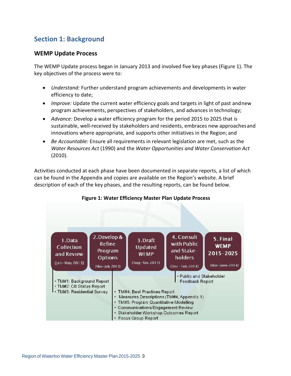## <span id="page-8-0"></span>**Section 1: Background**

## <span id="page-8-1"></span>**WEMP Update Process**

The WEMP Update process began in January 2013 and involved five key phases (Figure 1). The key objectives of the process were to:

- *Understand:* Further understand program achievements and developments in water efficiency to date;
- *Improve:* Update the current water efficiency goals and targets in light of past andnew program achievements, perspectives of stakeholders, and advances in technology;
- *Advance:* Develop a water efficiency program for the period 2015 to 2025 that is sustainable, well-received by stakeholders and residents, embraces new approachesand innovations where appropriate, and supports other initiatives in the Region; and
- *Be Accountable:* Ensure all requirements in relevant legislation are met, such as the *Water Resources Act* (1990) and the *Water Opportunities and Water Conservation Act*  (2010).

Activities conducted at each phase have been documented in separate reports, a list of which can be found in the Appendix and copies are available on the Region's website. A brief description of each of the key phases, and the resulting reports, can be found below.

<span id="page-8-2"></span>

#### **Figure 1: Water Efficiency Master Plan Update Process**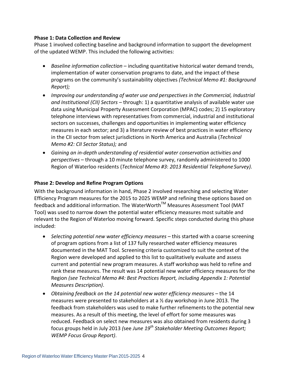#### **Phase 1: Data Collection and Review**

Phase 1 involved collecting baseline and background information to support the development of the updated WEMP. This included the following activities:

- *Baseline information collection*  including quantitative historical water demand trends, implementation of water conservation programs to date, and the impact ofthese programs on the community's sustainability objectives *(Technical Memo #1: Background Report);*
- *Improving our understanding of water use and perspectives in the Commercial, Industrial and Institutional (CII) Sectors* – through: 1) a quantitative analysis of available water use data using Municipal Property Assessment Corporation (MPAC) codes; 2) 15 exploratory telephone interviews with representatives from commercial, industrial and institutional sectors on successes, challenges and opportunities in implementing water efficiency measures in each sector; and 3) a literature review of best practices in water efficiency in the CII sector from select jurisdictions in North America and Australia (*Technical Memo #2: CII Sector Status);* and
- *Gaining an in-depth understanding of residential water conservation activities and perspectives* – through a 10 minute telephone survey, randomly administered to 1000 Region of Waterloo residents (*Technical Memo #3: 2013 Residential Telephone Survey*).

### **Phase 2: Develop and Refine Program Options**

With the background information in hand, Phase 2 involved researching and selecting Water Efficiency Program measures for the 2015 to 2025 WEMP and refining these options based on feedback and additional information. The WaterWorth™ Measures Assessment Tool (MAT Tool) was used to narrow down the potential water efficiency measures most suitable and relevant to the Region of Waterloo moving forward. Specific steps conducted during this phase included:

- Selecting potential new water efficiency measures this started with a coarse screening of program options from a list of 137 fully researched water efficiency measures documented in the MAT Tool. Screening criteria customized to suit the context of the Region were developed and applied to this list to qualitatively evaluate and assess current and potential new program measures. A staff workshop was held to refine and rank these measures. The result was 14 potential new water efficiency measures for the Region *(see Technical Memo #4: Best Practices Report, including Appendix 1: Potential Measures Description)*.
- *Obtaining feedback on the 14 potential new water efficiency measures* the 14 measures were presented to stakeholders at a ½ day workshop in June 2013. The feedback from stakeholders was used to make further refinements to the potential new measures. As a result of this meeting, the level of effort for some measures was reduced. Feedback on select new measures was also obtained from residents during 3 focus groups held in July 2013 *(*see *June 19th Stakeholder Meeting Outcomes Report; WEMP Focus Group Report)*.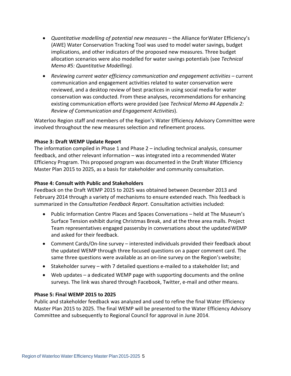- *Quantitative modelling of potential new measures*  the Alliance forWater Efficiency's (AWE) Water Conservation Tracking Tool was used to model water savings, budget implications, and other indicators of the proposed new measures. Three budget allocation scenarios were also modelled for water savings potentials (see *Technical Memo #5: Quantitative Modelling).*
- Reviewing current water efficiency communication and engagement activities current communication and engagement activities related to water conservation were reviewed, and a desktop review of best practices in using social media for water conservation was conducted. From these analyses, recommendations for enhancing existing communication efforts were provided (see *Technical Memo #4 Appendix 2: Review of Communication and Engagement Activities*).

Waterloo Region staff and members of the Region's Water Efficiency Advisory Committee were involved throughout the new measures selection and refinement process.

#### **Phase 3: Draft WEMP Update Report**

The information compiled in Phase 1 and Phase 2 – including technical analysis, consumer feedback, and other relevant information – was integrated into a recommended Water Efficiency Program. This proposed program was documented in the Draft Water Efficiency Master Plan 2015 to 2025, as a basis for stakeholder and community consultation.

#### **Phase 4: Consult with Public and Stakeholders**

Feedback on the Draft WEMP 2015 to 2025 was obtained between December 2013 and February 2014 through a variety of mechanisms to ensure extended reach. This feedback is summarized in the *Consultation Feedback Report*. Consultation activities included:

- Public Information Centre Places and Spaces Conversations held at The Museum's Surface Tension exhibit during Christmas Break, and at the three area malls. Project Team representatives engaged passersby in conversations about the updatedWEMP and asked for their feedback.
- Comment Cards/On-line survey interested individuals provided their feedback about the updated WEMP through three focused questions on a paper comment card. The same three questions were available as an on-line survey on the Region's website;
- Stakeholder survey with 7 detailed questions e-mailed to a stakeholder list; and
- Web updates a dedicated WEMP page with supporting documents and the online surveys. The link was shared through Facebook, Twitter, e-mail and other means.

#### **Phase 5: Final WEMP 2015 to 2025**

Public and stakeholder feedback was analyzed and used to refine the final Water Efficiency Master Plan 2015 to 2025. The final WEMP will be presented to the Water Efficiency Advisory Committee and subsequently to Regional Council for approval in June 2014.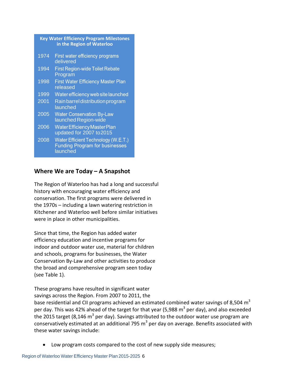<span id="page-11-0"></span>

| <b>Key Water Efficiency Program Milestones</b><br>in the Region of Waterloo |                                                                                          |  |
|-----------------------------------------------------------------------------|------------------------------------------------------------------------------------------|--|
| 1974                                                                        | First water efficiency programs<br>delivered                                             |  |
| 1994                                                                        | <b>First Region-wide Toilet Rebate</b><br>Program                                        |  |
| 1998                                                                        | <b>First Water Efficiency Master Plan</b><br>released                                    |  |
| 1999                                                                        | Water efficiency web site launched                                                       |  |
| 2001                                                                        | Rain barrel distribution program<br>launched                                             |  |
| 2005                                                                        | <b>Water Conservation By-Law</b><br>launched Region-wide                                 |  |
| 2006                                                                        | <b>Water Efficiency Master Plan</b><br>updated for 2007 to 2015                          |  |
| 2008                                                                        | Water Efficient Technology (W.E.T.)<br><b>Funding Program for businesses</b><br>launched |  |

## **Where We are Today – A Snapshot**

The Region of Waterloo has had a long and successful history with encouraging water efficiency and conservation. The first programs were delivered in the 1970s – including a lawn watering restriction in Kitchener and Waterloo well before similar initiatives were in place in other municipalities.

Since that time, the Region has added water efficiency education and incentive programs for indoor and outdoor water use, material for children and schools, programs for businesses, the Water Conservation By-Law and other activities to produce the broad and comprehensive program seen today (see Table 1).

These programs have resulted in significant water savings across the Region. From 2007 to 2011, the base residential and CII programs achieved an estimated combined water savings of 8,504  $m<sup>3</sup>$ per day. This was 42% ahead of the target for that year (5,988  $m^3$  per day), and also exceeded the 2015 target (8,146  $m^3$  per day). Savings attributed to the outdoor water use program are conservatively estimated at an additional 795  $m<sup>3</sup>$  per day on average. Benefits associated with these water savings include:

• Low program costs compared to the cost of new supply side measures;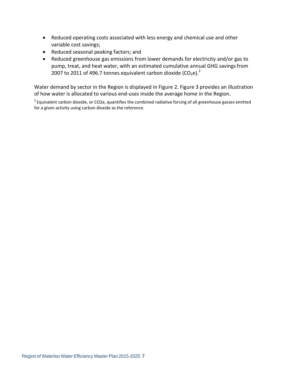- Reduced operating costs associated with less energy and chemical use and other variable cost savings;
- Reduced seasonal peaking factors; and
- Reduced greenhouse gas emissions from lower demands for electricity and/or gas to pump, treat, and heat water, with an estimated cumulative annual GHG savings from 2007 to 2011 of 496.7 tonnes equivalent carbon dioxide (CO<sub>2</sub>e).<sup>2</sup>

Water demand by sector in the Region is displayed in Figure 2. Figure 3 provides an illustration of how water is allocated to various end-uses inside the average home in the Region.

 $2$  Equivalent carbon dioxide, or CO2e, quantifies the combined radiative forcing of all greenhouse gasses emitted for a given activity using carbon dioxide as the reference.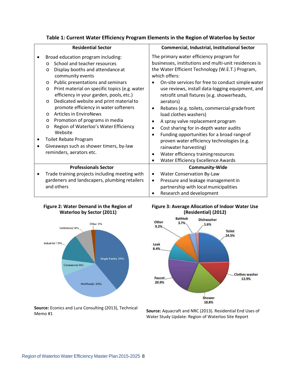| Table 1: Current Water Efficiency Program Elements in the Region of Waterloo by Sector |  |  |
|----------------------------------------------------------------------------------------|--|--|
|----------------------------------------------------------------------------------------|--|--|

| <b>Residential Sector</b>                                                                                                                                                                                                                                                                                                                                                                                                                                                                                                                                                                                                                                                               | <b>Commercial, Industrial, Institutional Sector</b>                                                                                                                                                                                                                                                                                                                                                                                                                                                                                                                                                                                                                                                                                                       |
|-----------------------------------------------------------------------------------------------------------------------------------------------------------------------------------------------------------------------------------------------------------------------------------------------------------------------------------------------------------------------------------------------------------------------------------------------------------------------------------------------------------------------------------------------------------------------------------------------------------------------------------------------------------------------------------------|-----------------------------------------------------------------------------------------------------------------------------------------------------------------------------------------------------------------------------------------------------------------------------------------------------------------------------------------------------------------------------------------------------------------------------------------------------------------------------------------------------------------------------------------------------------------------------------------------------------------------------------------------------------------------------------------------------------------------------------------------------------|
| Broad education program including:<br>$\bullet$<br>School and teacher resources<br>$\circ$<br>Display booths and attendance at<br>O<br>community events<br>Public presentations and seminars<br>$\circ$<br>Print material on specific topics (e.g. water<br>$\circ$<br>efficiency in your garden, pools, etc.)<br>Dedicated website and print material to<br>$\circ$<br>promote efficiency in water softeners<br><b>Articles in EnviroNews</b><br>$\circ$<br>Promotion of programs in media<br>$\circ$<br>Region of Waterloo's Water Efficiency<br>$\circ$<br>Website<br>Toilet Rebate Program<br>٠<br>Giveaways such as shower timers, by-law<br>$\bullet$<br>reminders, aerators etc. | The primary water efficiency program for<br>businesses, institutions and multi-unit residences is<br>the Water Efficient Technology (W.E.T.) Program,<br>which offers:<br>On-site services for free to conduct simple water<br>use reviews, install data-logging equipment, and<br>retrofit small fixtures (e.g. showerheads,<br>aerators)<br>Rebates (e.g. toilets, commercial-grade front<br>$\bullet$<br>load clothes washers)<br>A spray valve replacement program<br>Cost sharing for in-depth water audits<br>$\bullet$<br>Funding opportunities for a broad range of<br>$\bullet$<br>proven water efficiency technologies (e.g.<br>rainwater harvesting)<br>Water efficiency training resources<br>$\bullet$<br>Water Efficiency Excellence Awards |
| <b>Professionals Sector</b>                                                                                                                                                                                                                                                                                                                                                                                                                                                                                                                                                                                                                                                             | <b>Community-Wide</b>                                                                                                                                                                                                                                                                                                                                                                                                                                                                                                                                                                                                                                                                                                                                     |
| Trade training projects including meeting with<br>$\bullet$<br>gardeners and landscapers, plumbing retailers<br>and others                                                                                                                                                                                                                                                                                                                                                                                                                                                                                                                                                              | Water Conservation By-Law<br>$\bullet$<br>Pressure and leakage management in<br>$\bullet$<br>partnership with local municipalities<br>Research and development                                                                                                                                                                                                                                                                                                                                                                                                                                                                                                                                                                                            |

#### <span id="page-13-0"></span>**Figure 2: Water Demand in the Region of Waterloo by Sector (2011)**



**Source:** Econics and Lura Consulting (2013), Technical Memo #1

#### <span id="page-13-1"></span>**Figure 3: Average Allocation of Indoor Water Use (Residential) (2012)**



**Source:** Aquacraft and NRC (2013). Residential End Uses of Water Study Update: Region of Waterloo Site Report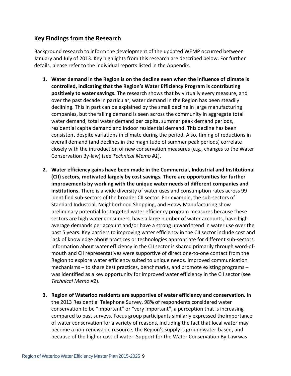## <span id="page-14-0"></span>**Key Findings from the Research**

Background research to inform the development of the updated WEMP occurred between January and July of 2013. Key highlights from this research are described below. For further details, please refer to the individual reports listed in the Appendix.

- **1. Water demand in the Region is on the decline even when the influence of climate is controlled, indicating that the Region's Water Efficiency Program is contributing positively to water savings.** The research shows that by virtually every measure, and over the past decade in particular, water demand in the Region has been steadily declining. This in part can be explained by the small decline in large manufacturing companies, but the falling demand is seen across the community in aggregate total water demand, total water demand per capita, summer peak demand periods, residential capita demand and indoor residential demand. This decline has been consistent despite variations in climate during the period. Also, timing of reductions in overall demand (and declines in the magnitude of summer peak periods) correlate closely with the introduction of new conservation measures (e.g., changes to the Water Conservation By-law) (see *Technical Memo #1*).
- **2. Water efficiency gains have been made in the Commercial, Industrial and Institutional (CII) sectors, motivated largely by cost savings. There are opportunities for further improvements by working with the unique water needs of different companies and institutions.** There is a wide diversity of water uses and consumption rates across 99 identified sub-sectors of the broader CII sector. For example, the sub-sectors of Standard Industrial, Neighborhood Shopping, and Heavy Manufacturing show preliminary potential for targeted water efficiency program measures because these sectors are high water consumers, have a large number of water accounts, have high average demands per account and/or have a strong upward trend in water use over the past 5 years. Key barriers to improving water efficiency in the CII sector include cost and lack of knowledge about practices or technologies appropriate for different sub-sectors. Information about water efficiency in the CII sector is shared primarily through word-ofmouth and CII representatives were supportive of direct one-to-one contact from the Region to explore water efficiency suited to unique needs. Improved communication mechanisms – to share best practices, benchmarks, and promote existing programs – was identified as a key opportunity for improved water efficiency in the CII sector (see *Technical Memo #2*).
- **3. Region of Waterloo residents are supportive of water efficiency and conservation.** In the 2013 Residential Telephone Survey, 98% of respondents considered water conservation to be "important" or "very important", a perception that is increasing compared to past surveys. Focus group participants similarly expressed theimportance of water conservation for a variety of reasons, including the fact that local water may become a non-renewable resource, the Region's supply is groundwater-based, and because of the higher cost of water. Support for the Water Conservation By-Law was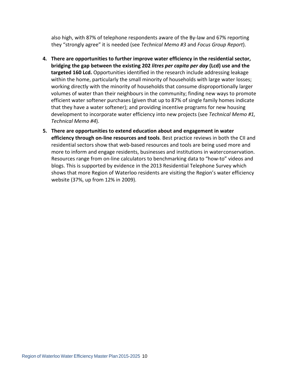also high, with 87% of telephone respondents aware of the By-law and 67% reporting they "strongly agree" it is needed (see *Technical Memo #3* and *Focus Group Report*).

- **4. There are opportunities to further improve water efficiency in the residential sector, bridging the gap between the existing 202** *litres per capita per day* **(Lcd) use and the targeted 160 Lcd.** Opportunities identified in the research include addressing leakage within the home, particularly the small minority of households with large water losses; working directly with the minority of households that consume disproportionally larger volumes of water than their neighbours in the community; finding new ways to promote efficient water softener purchases (given that up to 87% of single family homes indicate that they have a water softener); and providing incentive programs for new housing development to incorporate water efficiency into new projects (see *Technical Memo #1, Technical Memo #4*).
- **5. There are opportunities to extend education about and engagement in water efficiency through on-line resources and tools**. Best practice reviews in both the CII and residential sectors show that web-based resources and tools are being used more and more to inform and engage residents, businesses and institutions in waterconservation. Resources range from on-line calculators to benchmarking data to "how-to" videos and blogs. This is supported by evidence in the 2013 Residential Telephone Survey which shows that more Region of Waterloo residents are visiting the Region's water efficiency website (37%, up from 12% in 2009).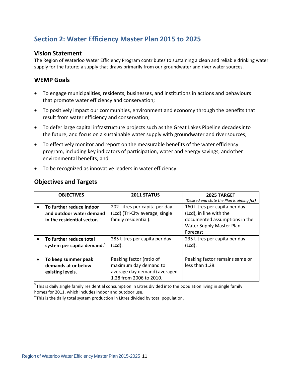## <span id="page-16-0"></span>**Section 2: Water Efficiency Master Plan 2015 to 2025**

### <span id="page-16-1"></span>**Vision Statement**

The Region of Waterloo Water Efficiency Program contributes to sustaining a clean and reliable drinking water supply for the future; a supply that draws primarily from our groundwater and river water sources.

## <span id="page-16-2"></span>**WEMP Goals**

- To engage municipalities, residents, businesses, and institutions in actions and behaviours that promote water efficiency and conservation;
- To positively impact our communities, environment and economy through the benefits that result from water efficiency and conservation;
- To defer large capital infrastructure projects such as the Great Lakes Pipeline decadesinto the future, and focus on a sustainable water supply with groundwater and river sources;
- To effectively monitor and report on the measurable benefits of the water efficiency program, including key indicators of participation, water and energy savings, andother environmental benefits; and
- <span id="page-16-3"></span>• To be recognized as innovative leaders in water efficiency.

## **Objectives and Targets**

|           | <b>OBJECTIVES</b>                                                                      | 2011 STATUS                                                                                                  | 2025 TARGET<br>(Desired end state the Plan is aiming for)                                                                         |
|-----------|----------------------------------------------------------------------------------------|--------------------------------------------------------------------------------------------------------------|-----------------------------------------------------------------------------------------------------------------------------------|
| $\bullet$ | To further reduce indoor<br>and outdoor water demand<br>in the residential sector. $3$ | 202 Litres per capita per day<br>(Lcd) (Tri-City average, single<br>family residential).                     | 160 Litres per capita per day<br>(Lcd), in line with the<br>documented assumptions in the<br>Water Supply Master Plan<br>Forecast |
| $\bullet$ | To further reduce total<br>system per capita demand. <sup>4</sup>                      | 285 Litres per capita per day<br>(Lcd).                                                                      | 235 Litres per capita per day<br>(Lcd).                                                                                           |
|           | To keep summer peak<br>demands at or below<br>existing levels.                         | Peaking factor (ratio of<br>maximum day demand to<br>average day demand) averaged<br>1.28 from 2006 to 2010. | Peaking factor remains same or<br>less than 1.28.                                                                                 |

 $3$  This is daily single family residential consumption in Litres divided into the population living in single family homes for 2011, which includes indoor and outdoor use.

 $4$ This is the daily total system production in Litres divided by total population.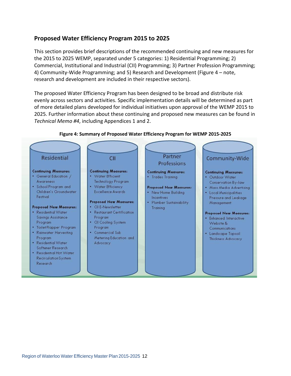## <span id="page-17-0"></span>**Proposed Water Efficiency Program 2015 to 2025**

This section provides brief descriptions of the recommended continuing and new measures for the 2015 to 2025 WEMP, separated under 5 categories: 1) Residential Programming; 2) Commercial, Institutional and Industrial (CII) Programming; 3) Partner Profession Programming; 4) Community-Wide Programming; and 5) Research and Development (Figure 4 – note, research and development are included in their respective sectors).

The proposed Water Efficiency Program has been designed to be broad and distribute risk evenly across sectors and activities. Specific implementation details will be determined as part of more detailed plans developed for individual initiatives upon approval of the WEMP 2015 to 2025. Further information about these continuing and proposed new measures can be found in *Technical Memo #4*, including Appendices 1 and 2.

<span id="page-17-1"></span>

#### **Figure 4: Summary of Proposed Water Efficiency Program for WEMP 2015-2025**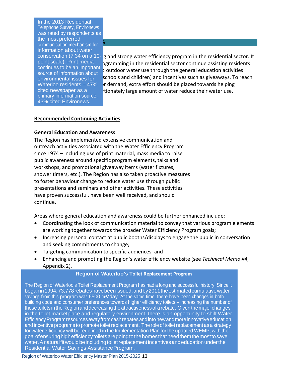**RESIDENTIFICAL PROGRAM**<br>**Communication mechanism for** In the 2013 Residential Telephone Survey, Environews was rated by respondents as the most preferred information about water conservation (7.34 on a 10 point scale). Print media continues to be an important source of information about environmental issues for Waterloo residents – 47% cited newspaper as a primary information source; 43% cited Environews.

g and strong water efficiency program in the residential sector. It bgramming in the residential sector continue assisting residents  $\sharp$  outdoor water use through the general education activities schools and children) and incentives such as giveaways. To reach  $\mathbf r$  demand, extra effort should be placed towards helping tionately large amount of water reduce their water use.

#### **Recommended Continuing Activities**

#### **General Education and Awareness**

The Region has implemented extensive communication and outreach activities associated with the Water Efficiency Program since 1974 – including use of print material, mass media to raise public awareness around specific program elements, talks and workshops, and promotional giveaway items (water fixtures, shower timers, etc.). The Region has also taken proactive measures to foster behaviour change to reduce water use through public presentations and seminars and other activities. These activities have proven successful, have been well received, and should continue.

Areas where general education and awareness could be further enhanced include:

- Coordinating the look of communication material to convey that various program elements are working together towards the broader Water Efficiency Program goals;
- Increasing personal contact at public booths/displays to engage the public in conversation and seeking commitments to change;
- Targeting communication to specific audiences; and
- Enhancing and promoting the Region's water efficiency website (see *Technical Memo #4*, Appendix 2).

#### **Region of Waterloo's Toilet Replacement Program**

The Region of Waterloo's Toilet Replacement Program has had a long and successful history. Since it beganin1994,73,778rebateshavebeenissued,andby2011theestimatedcumulativewater savings from this program was 6500 m<sup>3</sup>/day. At the same time, there have been changes in both building code and consumer preferences towards higher efficiency toilets – increasing the number of these toilets in the Region and decreasing the attractiveness of a rebate. Given the major changes in the toilet marketplace and regulatory environment, there is an opportunity to shift Water Efficiency Program resources away from cash rebates and into new and more innovative education and incentive programs to promote toilet replacement. The role of toilet replacement as a strategy for water efficiency will be redefined in the Implementation Plan for the updated WEMP, with the goalofensuringhighefficiencytoiletsaregoingtothehomesthatneedthemthemosttosave water. A natural fit would be including toilet replacement incentives and education under the Residential Water Savings AssistanceProgram.

Region of Waterloo Water Efficiency Master Plan 2015-2025 13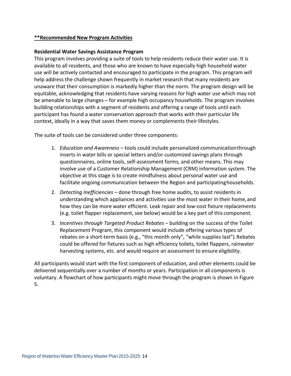#### **\*\*Recommended New Program Activities**

#### **Residential Water Savings Assistance Program**

This program involves providing a suite of tools to help residents reduce their water use. It is available to all residents, and those who are known to have especially high household water use will be actively contacted and encouraged to participate in the program. This program will help address the challenge shown frequently in market research that many residents are unaware that their consumption is markedly higher than the norm. The program design will be equitable, acknowledging that residents have varying reasons for high water use which may not be amenable to large changes – for example high occupancy households. The program involves building relationships with a segment of residents and offering a range of tools until each participant has found a water conservation approach that works with their particular life context, ideally in a way that saves them money or complements their lifestyles.

The suite of tools can be considered under three components:

- 1. *Education and Awareness*  tools could include personalized communicationthrough inserts in water bills or special letters and/or customized savings plans through questionnaires, online tools, self-assessment forms, and other means. This may involve use of a Customer Relationship Management (CRM) information system. The objective at this stage is to create mindfulness about personal water use and facilitate ongoing communication between the Region and participatinghouseholds.
- 2. *Detecting Inefficiencies* done through free home audits, to assist residents in understanding which appliances and activities use the most water in their home,and how they can be more water efficient. Leak repair and low-cost fixture replacements (e.g. toilet flapper replacement, see below) would be a key part of this component.
- 3. *Incentives through Targeted Product Rebates*  building on the success of the Toilet Replacement Program, this component would include offering various types of rebates on a short-term basis (e.g., "this month only", "while supplies last").Rebates could be offered for fixtures such as high efficiency toilets, toilet flappers, rainwater harvesting systems, etc. and would require an assessment to ensure eligibility.

All participants would start with the first component of education, and other elements could be delivered sequentially over a number of months or years. Participation in all components is voluntary. A flowchart of how participants might move through the program is shown in Figure 5.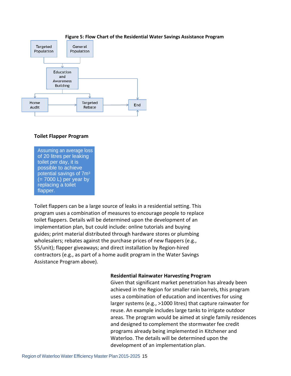<span id="page-20-0"></span>

#### **Figure 5: Flow Chart of the Residential Water Savings Assistance Program**

#### **Toilet Flapper Program**

Assuming an average loss of 20 litres per leaking toilet per day, it is possible to achieve potential savings of 7m3  $(= 7000 \text{ L})$  per year by replacing a toilet flapper.

Toilet flappers can be a large source of leaks in a residential setting. This program uses a combination of measures to encourage people to replace toilet flappers. Details will be determined upon the development of an implementation plan, but could include: online tutorials and buying guides; print material distributed through hardware stores or plumbing wholesalers; rebates against the purchase prices of new flappers (e.g., \$5/unit); flapper giveaways; and direct installation by Region-hired contractors (e.g., as part of a home audit program in the Water Savings Assistance Program above).

#### **Residential Rainwater Harvesting Program**

Given that significant market penetration has already been achieved in the Region for smaller rain barrels, this program uses a combination of education and incentives for using larger systems (e.g., >1000 litres) that capture rainwater for reuse. An example includes large tanks to irrigate outdoor areas. The program would be aimed at single family residences and designed to complement the stormwater fee credit programs already being implemented in Kitchener and Waterloo. The details will be determined upon the development of an implementation plan.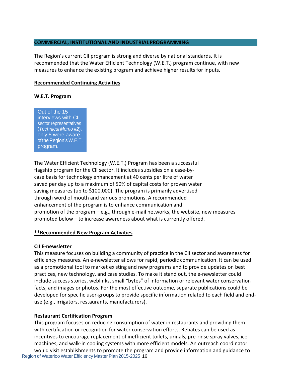#### **COMMERCIAL, INSTITUTIONAL AND INDUSTRIALPROGRAMMING**

The Region's current CII program is strong and diverse by national standards. It is recommended that the Water Efficient Technology (W.E.T.) program continue, with new measures to enhance the existing program and achieve higher results for inputs.

#### **Recommended Continuing Activities**

#### **W.E.T. Program**

Out of the 15 interviews with CII sector representatives (*Technical Memo #2*), only 5 were aware of the Region's W.E.T. program.

The Water Efficient Technology (W.E.T.) Program has been a successful flagship program for the CII sector. It includes subsidies on a case-bycase basis for technology enhancement at 40 cents per litre of water saved per day up to a maximum of 50% of capital costs for proven water saving measures (up to \$100,000). The program is primarily advertised through word of mouth and various promotions. A recommended enhancement of the program is to enhance communication and promotion of the program  $-e.g.,$  through e-mail networks, the website, new measures promoted below – to increase awareness about what is currently offered.

#### **\*\*Recommended New Program Activities**

#### **CII E-newsletter**

This measure focuses on building a community of practice in the CII sector and awareness for efficiency measures. An e-newsletter allows for rapid, periodic communication. It can be used as a promotional tool to market existing and new programs and to provide updates on best practices, new technology, and case studies. To make it stand out, the e-newsletter could include success stories, weblinks, small "bytes" of information or relevant water conservation facts, and images or photos. For the most effective outcome, separate publications could be developed for specific user-groups to provide specific information related to each field and enduse (e.g., irrigators, restaurants, manufacturers).

#### **Restaurant Certification Program**

Region of Waterloo Water Efficiency Master Plan 2015-2025 16 This program focuses on reducing consumption of water in restaurants and providing them with certification or recognition for water conservation efforts. Rebates can be used as incentives to encourage replacement of inefficient toilets, urinals, pre-rinse spray valves, ice machines, and walk-in cooling systems with more efficient models. An outreach coordinator would visit establishments to promote the program and provide information and guidance to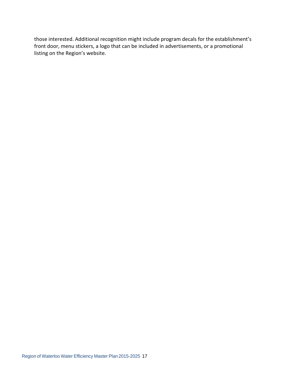those interested. Additional recognition might include program decals for the establishment's front door, menu stickers, a logo that can be included in advertisements, or a promotional listing on the Region's website.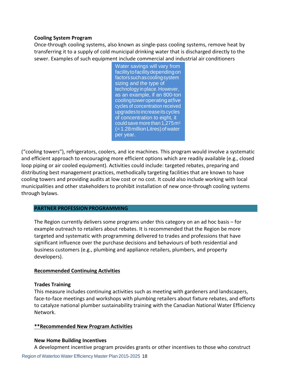#### **Cooling System Program**

Once-through cooling systems, also known as single-pass cooling systems, remove heat by transferring it to a supply of cold municipal drinking water that is discharged directly to the sewer. Examples of such equipment include commercial and industrial air conditioners

> Water savings will vary from facilitytofacilitydependingon factors suchascooling system sizing and the type of technology in place. However, as an example, if an 800-ton coolingtoweroperatingatfive cycles of concentration received upgrades to increase its cycles of concentration to eight, it could save more than 1,275 m3  $(=1.28$  million Litres) of water per year.

("cooling towers"), refrigerators, coolers, and ice machines. This program would involve a systematic and efficient approach to encouraging more efficient options which are readily available (e.g., closed loop piping or air cooled equipment). Activities could include: targeted rebates, preparing and distributing best management practices, methodically targeting facilities that are known to have cooling towers and providing audits at low cost or no cost. It could also include working with local municipalities and other stakeholders to prohibit installation of new once-through cooling systems through bylaws.

#### **PARTNER PROFESSION PROGRAMMING**

The Region currently delivers some programs under this category on an ad hoc basis – for example outreach to retailers about rebates. It is recommended that the Region be more targeted and systematic with programming delivered to trades and professions that have significant influence over the purchase decisions and behaviours of both residential and business customers (e.g., plumbing and appliance retailers, plumbers, and property developers).

#### **Recommended Continuing Activities**

### **Trades Training**

This measure includes continuing activities such as meeting with gardeners and landscapers, face-to-face meetings and workshops with plumbing retailers about fixture rebates, and efforts to catalyze national plumber sustainability training with the Canadian National Water Efficiency Network.

### **\*\*Recommended New Program Activities**

#### **New Home Building Incentives**

A development incentive program provides grants or other incentives to those who construct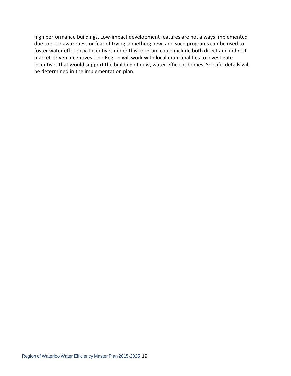high performance buildings. Low-impact development features are not always implemented due to poor awareness or fear of trying something new, and such programs can be used to foster water efficiency. Incentives under this program could include both direct and indirect market-driven incentives. The Region will work with local municipalities to investigate incentives that would support the building of new, water efficient homes. Specific details will be determined in the implementation plan.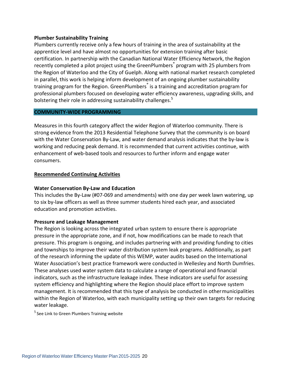#### **Plumber Sustainability Training**

Plumbers currently receive only a few hours of training in the area of sustainability at the apprentice level and have almost no opportunities for extension training after basic certification. In partnership with the Canadian National Water Efficiency Network, the Region recently completed a pilot project using the GreenPlumbers® program with 25 plumbers from the Region of Waterloo and the City of Guelph. Along with national market research completed in parallel, this work is helping inform development of an ongoing plumber sustainability training program for the Region. GreenPlumbers<sup>®</sup> is a training and accreditation program for professional plumbers focused on developing water efficiency awareness, upgrading skills, and bolstering their role in addressing sustainability challenges.<sup>5</sup>

#### **COMMUNITY-WIDE PROGRAMMING**

Measures in this fourth category affect the wider Region of Waterloo community. There is strong evidence from the 2013 Residential Telephone Survey that the community is on board with the Water Conservation By-Law, and water demand analysis indicates that the by-law is working and reducing peak demand. It is recommended that current activities continue, with enhancement of web-based tools and resources to further inform and engage water consumers.

#### **Recommended Continuing Activities**

#### **Water Conservation By-Law and Education**

This includes the By-Law (#07-069 and amendments) with one day per week lawn watering, up to six by-law officers as well as three summer students hired each year, and associated education and promotion activities.

#### **Pressure and Leakage Management**

The Region is looking across the integrated urban system to ensure there is appropriate pressure in the appropriate zone, and if not, how modifications can be made to reach that pressure. This program is ongoing, and includes partnering with and providing funding to cities and townships to improve their water distribution system leak programs. Additionally, as part of the research informing the update of this WEMP, water audits based on the International Water Association's best practice framework were conducted in Wellesley and North Dumfries. These analyses used water system data to calculate a range of operational and financial indicators, such as the infrastructure leakage index. These indicators are useful for assessing system efficiency and highlighting where the Region should place effort to improve system management. It is recommended that this type of analysis be conducted in othermunicipalities within the Region of Waterloo, with each municipality setting up their own targets for reducing water leakage.

 $5$  See [Link to Green Plumbers Training website](http://www.greenplumberstraining.org/)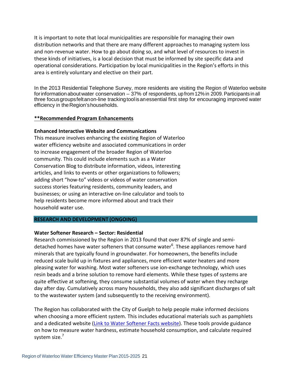It is important to note that local municipalities are responsible for managing their own distribution networks and that there are many different approaches to managing system loss and non-revenue water. How to go about doing so, and what level of resources to invest in these kinds of initiatives, is a local decision that must be informed by site specific data and operational considerations. Participation by local municipalities in the Region's efforts in this area is entirely voluntary and elective on their part.

In the 2013 Residential Telephone Survey, more residents are visiting the Region of Waterloo website forinformationaboutwater conservation – 37% of respondents, up from 12% in 2009. Participants in all three focusgroupsfeltanon-line trackingtoolisanessential first step for encouraging improved water efficiency in the Region's households.

#### **\*\*Recommended Program Enhancements**

#### **Enhanced Interactive Website and Communications**

This measure involves enhancing the existing Region of Waterloo water efficiency website and associated communications in order to increase engagement of the broader Region of Waterloo community. This could include elements such as a Water Conservation Blog to distribute information, videos, interesting articles, and links to events or other organizations to followers; adding short "how-to" videos or videos of water conservation success stories featuring residents, community leaders, and businesses; or using an interactive on-line calculator and tools to help residents become more informed about and track their household water use.

#### **RESEARCH AND DEVELOPMENT (ONGOING)**

#### **Water Softener Research – Sector: Residential**

Research commissioned by the Region in 2013 found that over 87% of single and semidetached homes have water softeners that consume water<sup>6</sup>. These appliances remove hard minerals that are typically found in groundwater. For homeowners, the benefits include reduced scale build up in fixtures and appliances, more efficient water heaters and more pleasing water for washing. Most water softeners use ion-exchange technology, which uses resin beads and a brine solution to remove hard elements. While these types of systems are quite effective at softening, they consume substantial volumes of water when they recharge day after day. Cumulatively across many households, they also add significant discharges of salt to the wastewater system (and subsequently to the receiving environment).

The Region has collaborated with the City of Guelph to help people make informed decisions when choosing a more efficient system. This includes educational materials such as pamphlets and a dedicated website [\(Link to Water Softener Facts website\)](http://www.watersoftenerfacts.ca/). These tools provide guidance on how to measure water hardness, estimate household consumption, and calculate required system size.<sup>7</sup>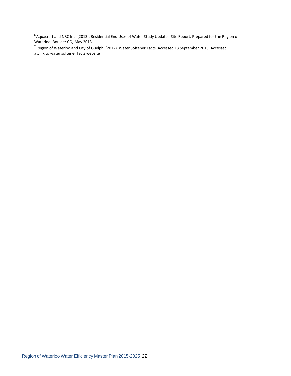<sup>6</sup> Aquacraft and NRC Inc. (2013). Residential End Uses of Water Study Update - Site Report. Prepared for the Region of Waterloo. Boulder CO, May 2013.

 $^7$  Region of Waterloo and City of Guelph. (2012). Water Softener Facts. Accessed 13 September 2013. Accessed a[tLink to water softener facts website](http://watersoftenerfacts.ca/)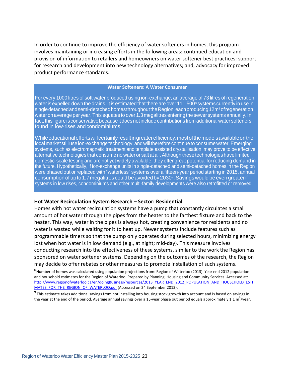In order to continue to improve the efficiency of water softeners in homes, this program involves maintaining or increasing efforts in the following areas: continued education and provision of information to retailers and homeowners on water softener best practices; support for research and development into new technology alternatives; and, advocacy for improved product performance standards.

#### **Water Softeners: A Water Consumer**

For every 1000 litres of soft water produced using ion-exchange, an average of 73 litres of regeneration water is expelled down the drains. It is estimated that there are over 111,500<sup>8</sup> systems currently in use in single detached and semi-detached homes throughout the Region, each producing 12m<sup>3</sup> of regeneration water on average per year. This equates to over 1.3 megalitres entering the sewer systems annually. In fact, this figure is conservative because it does not include contributions from additional water softeners found in low-rises and condominiums.

Whileeducationaleffortswillcertainlyresultingreaterefficiency,mostofthemodelsavailableonthe local market still use ion-exchange technology, and will therefore continue to consume water. Emerging systems, such as electromagnetic treatment and template assisted crystallisation, may prove to be effective alternative technologies that consume no water or salt at all. Although these technologies have limited domestic-scale testing and are not yet widely available, they offer great potential for reducing demand in the future. Hypothetically, if ion-exchange units in single-detached and semi-detached homes in the Region were phased out or replaced with "waterless" systems over a fifteen-year period starting in 2015, annual consumption of up to 1.7 megalitres could be avoided by 2030<sup>9</sup>. Savings would be even greater if systems in low rises, condominiums and other multi-family developments were also retrofitted or removed.

#### **Hot Water Recirculation System Research – Sector: Residential**

Homes with hot water recirculation systems have a pump that constantly circulates a small amount of hot water through the pipes from the heater to the farthest fixture and back to the heater. This way, water in the pipes is always hot, creating convenience for residents and no water is wasted while waiting for it to heat up. Newer systems include features such as programmable timers so that the pump only operates during selected hours, minimizing energy lost when hot water is in low demand (e.g., at night; mid-day). This measure involves conducting research into the effectiveness of these systems, similar to the work the Region has sponsored on water softener systems. Depending on the outcomes of the research, the Region may decide to offer rebates or other measures to promote installation of such systems.

<sup>8</sup> Number of homes was calculated using population projections from: Region of Waterloo (2013). Year end 2012 population and household estimates for the Region of Waterloo. Prepared by Planning, Housing and Community Services. Accessed at: [http://www.regionofwaterloo.ca/en/doingBusiness/resources/2013\\_YEAR\\_END\\_2012\\_POPULATION\\_AND\\_HOUSEHOLD\\_ESTI](http://www.regionofwaterloo.ca/en/doingBusiness/resources/2013_YEAR_END_2012_POPULATION_AND_HOUSEHOLD_ESTIMATES_FOR_THE_REGION_OF_WATERLOO.pdf) [MATES\\_FOR\\_THE\\_REGION\\_OF\\_WATERLOO.pdf](http://www.regionofwaterloo.ca/en/doingBusiness/resources/2013_YEAR_END_2012_POPULATION_AND_HOUSEHOLD_ESTIMATES_FOR_THE_REGION_OF_WATERLOO.pdf) (Accessed on 24 September 2013).

 $9$ This estimate takes additional savings from not installing into housing stock growth into account and is based on savings in the year at the end of the period. Average annual savings over a 15-year phase out period equals approximately 1.1 m<sup>3</sup>/year.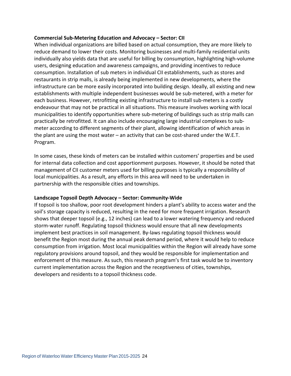#### **Commercial Sub-Metering Education and Advocacy – Sector: CII**

When individual organizations are billed based on actual consumption, they are more likely to reduce demand to lower their costs. Monitoring businesses and multi-family residential units individually also yields data that are useful for billing by consumption, highlighting high-volume users, designing education and awareness campaigns, and providing incentives to reduce consumption. Installation of sub meters in individual CII establishments, such as stores and restaurants in strip malls, is already being implemented in new developments, where the infrastructure can be more easily incorporated into building design. Ideally, all existing and new establishments with multiple independent businesses would be sub-metered, with a meter for each business. However, retrofitting existing infrastructure to install sub-meters is a costly endeavour that may not be practical in all situations. This measure involves working with local municipalities to identify opportunities where sub-metering of buildings such as strip malls can practically be retrofitted. It can also include encouraging large industrial complexes to submeter according to different segments of their plant, allowing identification of which areas in the plant are using the most water – an activity that can be cost-shared under the W.E.T. Program.

In some cases, these kinds of meters can be installed within customers' properties and be used for internal data collection and cost apportionment purposes. However, it should be noted that management of CII customer meters used for billing purposes is typically a responsibility of local municipalities. As a result, any efforts in this area will need to be undertaken in partnership with the responsible cities and townships.

#### **Landscape Topsoil Depth Advocacy – Sector: Community-Wide**

If topsoil is too shallow, poor root development hinders a plant's ability to access water and the soil's storage capacity is reduced, resulting in the need for more frequent irrigation. Research shows that deeper topsoil (e.g., 12 inches) can lead to a lower watering frequency and reduced storm-water runoff. Regulating topsoil thickness would ensure that all new developments implement best practices in soil management. By-laws regulating topsoil thickness would benefit the Region most during the annual peak demand period, where it would help to reduce consumption from irrigation. Most local municipalities within the Region will already have some regulatory provisions around topsoil, and they would be responsible for implementation and enforcement of this measure. As such, this research program's first task would be to inventory current implementation across the Region and the receptiveness of cities, townships, developers and residents to a topsoil thickness code.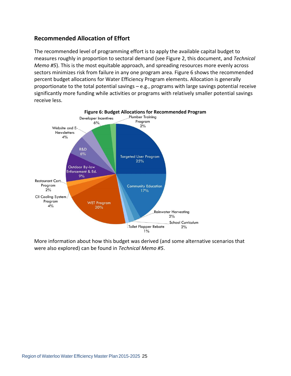## <span id="page-30-0"></span>**Recommended Allocation of Effort**

The recommended level of programming effort is to apply the available capital budget to measures roughly in proportion to sectoral demand (see Figure 2, this document, and *Technical Memo #5*). This is the most equitable approach, and spreading resources more evenly across sectors minimizes risk from failure in any one program area. Figure 6 shows the recommended percent budget allocations for Water Efficiency Program elements. Allocation is generally proportionate to the total potential savings – e.g., programs with large savings potential receive significantly more funding while activities or programs with relatively smaller potential savings receive less.

<span id="page-30-1"></span>

More information about how this budget was derived (and some alternative scenarios that were also explored) can be found in *Technical Memo #5*.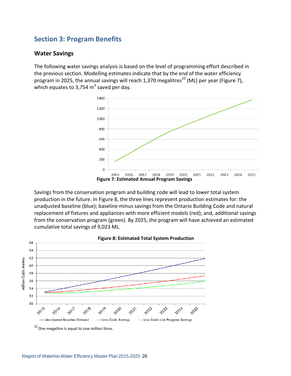## <span id="page-31-1"></span><span id="page-31-0"></span>**Section 3: Program Benefits**

#### **Water Savings**

The following water savings analysis is based on the level of programming effort described in the previous section. Modelling estimates indicate that by the end of the water efficiency program in 2025, the annual savings will reach 1,370 megalitres<sup>10</sup> (ML) per year (Figure 7), which equates to 3,754  $m<sup>3</sup>$  saved per day.

<span id="page-31-2"></span>

Savings from the conservation program and building code will lead to lower total system production in the future. In Figure 8, the three lines represent production estimates for: the unadjusted baseline (blue); baseline minus savings from the Ontario Building Code and natural replacement of fixtures and appliances with more efficient models (red); and, additional savings from the conservation program (green). By 2025, the program will have achieved an estimated cumulative total savings of 9,023 ML.

<span id="page-31-3"></span>

#### **Figure 8: Estimated Total System Production**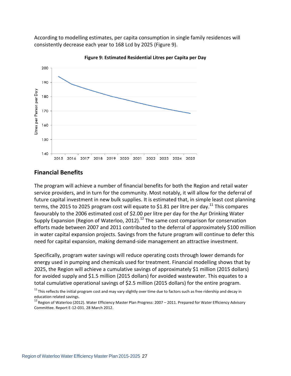According to modelling estimates, per capita consumption in single family residences will consistently decrease each year to 168 Lcd by 2025 (Figure 9).

<span id="page-32-1"></span>

**Figure 9: Estimated Residential Litres per Capita per Day**

#### <span id="page-32-0"></span>**Financial Benefits**

The program will achieve a number of financial benefits for both the Region and retail water service providers, and in turn for the community. Most notably, it will allow for the deferral of future capital investment in new bulk supplies. It is estimated that, in simple least cost planning terms, the 2015 to 2025 program cost will equate to \$1.81 per litre per day.<sup>11</sup> This compares favourably to the 2006 estimated cost of \$2.00 per litre per day for the Ayr Drinking Water Supply Expansion (Region of Waterloo, 2012).<sup>12</sup> The same cost comparison for conservation efforts made between 2007 and 2011 contributed to the deferral of approximately \$100 million in water capital expansion projects. Savings from the future program will continue to defer this need for capital expansion, making demand-side management an attractive investment.

Specifically, program water savings will reduce operating costs through lower demands for energy used in pumping and chemicals used for treatment. Financial modelling shows that by 2025, the Region will achieve a cumulative savings of approximately \$1 million (2015 dollars) for avoided supply and \$1.5 million (2015 dollars) for avoided wastewater. This equates to a total cumulative operational savings of \$2.5 million (2015 dollars) for the entire program.<br><sup>11</sup> This reflects the initial program cost and may vary slightly over time due to factors such as free ridership and decay in

education related savings.

 $^{12}$  Region of Waterloo (2012). Water Efficiency Master Plan Progress: 2007 – 2011. Prepared for Water Efficiency Advisory Committee. Report E-12-031. 28 March 2012.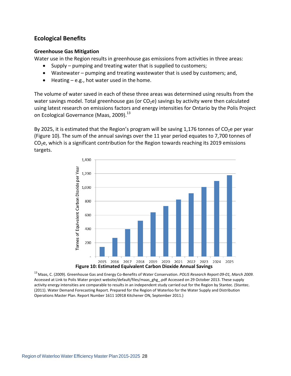## <span id="page-33-0"></span>**Ecological Benefits**

#### **Greenhouse Gas Mitigation**

Water use in the Region results in greenhouse gas emissions from activities in three areas:

- Supply pumping and treating water that is supplied to customers;
- Wastewater pumping and treating wastewater that is used by customers; and,
- Heating e.g., hot water used in the home.

The volume of water saved in each of these three areas was determined using results from the water savings model. Total greenhouse gas (or  $CO<sub>2</sub>e$ ) savings by activity were then calculated using latest research on emissions factors and energy intensities for Ontario by the Polis Project on Ecological Governance (Maas, 2009).<sup>13</sup>

By 2025, it is estimated that the Region's program will be saving 1,176 tonnes of  $CO<sub>2</sub>e$  per year (Figure 10). The sum of the annual savings over the 11 year period equates to 7,700 tonnes of CO2e, which is a significant contribution for the Region towards reaching its 2019 emissions targets.

<span id="page-33-1"></span>

13 Maas, C. (2009). Greenhouse Gas and Energy Co-Benefits of Water Conservation. *POLIS Research Report 09-01, March 2009.*  Accessed at [Link to Polis Water project website/](http://poliswaterproject.org/sites)default/files/maas\_ghg\_.pdf Accessed on 29 October 2013. These supply activity energy intensities are comparable to results in an independent study carried out for the Region by Stantec. (Stantec. (2011). Water Demand Forecasting Report. Prepared for the Region of Waterloo for the Water Supply and Distribution Operations Master Plan. Report Number 1611 10918 Kitchener ON, September 2011.)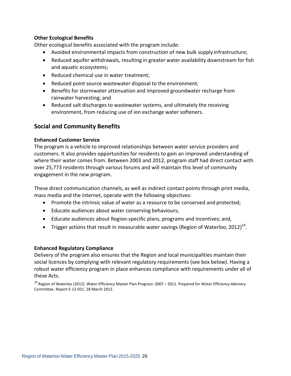#### **Other Ecological Benefits**

Other ecological benefits associated with the program include:

- Avoided environmental impacts from construction of new bulk supply infrastructure;
- Reduced aquifer withdrawals, resulting in greater water availability downstream for fish and aquatic ecosystems;
- Reduced chemical use in water treatment;
- Reduced point source wastewater disposal to the environment;
- Benefits for stormwater attenuation and improved groundwater recharge from rainwater harvesting; and
- Reduced salt discharges to wastewater systems, and ultimately the receiving environment, from reducing use of ion exchange water softeners.

## <span id="page-34-0"></span>**Social and Community Benefits**

#### **Enhanced Customer Service**

The program is a vehicle to improved relationships between water service providers and customers. It also provides opportunities for residents to gain an improved understanding of where their water comes from. Between 2003 and 2012, program staff had direct contact with over 25,773 residents through various forums and will maintain this level of community engagement in the new program.

These direct communication channels, as well as indirect contact points through print media, mass media and the internet, operate with the following objectives:

- Promote the intrinsic value of water as a resource to be conserved and protected;
- Educate audiences about water conserving behaviours;
- Educate audiences about Region-specific plans, programs and incentives; and,
- Trigger actions that result in measurable water savings (Region of Waterloo, 2012)<sup>14</sup>.

#### **Enhanced Regulatory Compliance**

Delivery of the program also ensures that the Region and local municipalities maintain their social licences by complying with relevant regulatory requirements (see box below). Having a robust water efficiency program in place enhances compliance with requirements under all of these Acts.

 $14$  Region of Waterloo (2012). Water Efficiency Master Plan Progress: 2007 – 2011. Prepared for Water Efficiency Advisory Committee. Report E-12-031. 28 March 2012.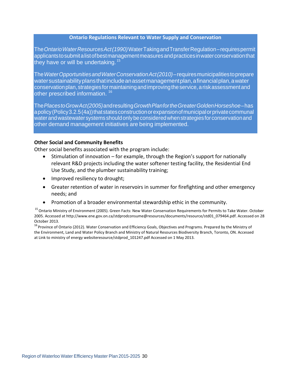#### **Ontario Regulations Relevant to Water Supply and Conservation**

The*OntarioWaterResourcesAct(1990)*WaterTakingandTransferRegulation – requirespermit applicantstosubmit a listofbestmanagementmeasuresandpracticesinwaterconservationthat they have or will be undertaking.  $15<sup>5</sup>$ 

The*WaterOpportunitiesandWaterConservationAct(2010)*– requiresmunicipalitiestoprepare watersustainabilityplansthatincludeanassetmanagementplan, a financialplan, a water conservationplan, strategiesformaintainingandimprovingtheservice, a riskassessmentand other prescribed information.<sup>16</sup>

The*PlacestoGrowAct(2005)*andresulting*GrowthPlanfortheGreaterGoldenHorseshoe*– has a policy (Policy 3.2.5(4a)) that states construction or expansion of municipal or private communal waterandwastewatersystems shouldonlybeconsideredwhenstrategiesforconservationand other demand management initiatives are being implemented.

#### **Other Social and Community Benefits**

Other social benefits associated with the program include:

- Stimulation of innovation for example, through the Region's support for nationally relevant R&D projects including the water softener testing facility, the Residential End Use Study, and the plumber sustainability training;
- Improved resiliency to drought;
- Greater retention of water in reservoirs in summer for firefighting and other emergency needs; and
- Promotion of a broader environmental stewardship ethic in the community.

<sup>15</sup> Ontario Ministry of Environment (2005). Green Facts: New Water Conservation Requirements for Permits to Take Water. October 2005. Accessed a[t http://www.ene.gov.on.ca/stdprodconsume@resources/documents/resource/std01\\_079464.pdf.](http://www.ene.gov.on.ca/stdprodconsume%40resources/documents/resource/std01_079464.pdf) Accessed on 28 October 2013.

<sup>16</sup> Province of Ontario (2012). Water Conservation and Efficiency Goals, Objectives and Programs. Prepared by the Ministry of the Environment, Land and Water Policy Branch and Ministry of Natural Resources Biodiversity Branch, Toronto, ON. Accessed a[t Link to ministry of energy websiter](http://www.ene.gov.on.ca/stdprodconsume/groups/lr/%40ene/%40resources/documents/)esource/stdprod\_101247.pdf Accessed on 1 May 2013.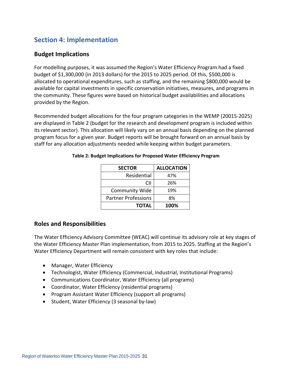## <span id="page-36-0"></span>**Section 4: Implementation**

## <span id="page-36-1"></span>**Budget Implications**

For modelling purposes, it was assumed the Region's Water Efficiency Program had a fixed budget of \$1,300,000 (in 2013 dollars) for the 2015 to 2025 period. Of this, \$500,000 is allocated to operational expenditures, such as staffing, and the remaining \$800,000 would be available for capital investments in specific conservation initiatives, measures, and programs in the community. These figures were based on historical budget availabilities and allocations provided by the Region.

Recommended budget allocations for the four program categories in the WEMP (20015-2025) are displayed in Table 2 (budget for the research and development program is included within its relevant sector). This allocation will likely vary on an annual basis depending on the planned program focus for a given year. Budget reports will be brought forward on an annual basis by staff for any allocation adjustments needed while keeping within budget parameters.

| <b>SECTOR</b>              | <b>ALLOCATION</b> |
|----------------------------|-------------------|
| Residential                | 47%               |
| CII                        | 26%               |
| <b>Community Wide</b>      | 19%               |
| <b>Partner Professions</b> | 8%                |
| <b>TOTAL</b>               | 100%              |

#### **Table 2: Budget Implications for Proposed Water Efficiency Program**

## <span id="page-36-2"></span>**Roles and Responsibilities**

The Water Efficiency Advisory Committee (WEAC) will continue its advisory role at key stages of the Water Efficiency Master Plan implementation, from 2015 to 2025. Staffing at the Region's Water Efficiency Department will remain consistent with key roles that include:

- Manager, Water Efficiency
- Technologist, Water Efficiency (Commercial, Industrial, Institutional Programs)
- Communications Coordinator, Water Efficiency (all programs)
- Coordinator, Water Efficiency (residential programs)
- Program Assistant Water Efficiency (support all programs)
- Student, Water Efficiency (3 seasonal by-law)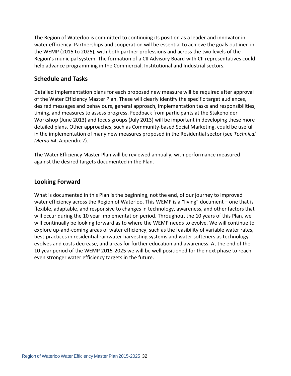The Region of Waterloo is committed to continuing its position as a leader and innovator in water efficiency. Partnerships and cooperation will be essential to achieve the goals outlined in the WEMP (2015 to 2025), with both partner professions and across the two levels of the Region's municipal system. The formation of a CII Advisory Board with CII representatives could help advance programming in the Commercial, Institutional and Industrial sectors.

## <span id="page-37-0"></span>**Schedule and Tasks**

Detailed implementation plans for each proposed new measure will be required after approval of the Water Efficiency Master Plan. These will clearly identify the specific target audiences, desired messages and behaviours, general approach, implementation tasks and responsibilities, timing, and measures to assess progress. Feedback from participants at the Stakeholder Workshop (June 2013) and focus groups (July 2013) will be important in developing these more detailed plans. Other approaches, such as Community-based Social Marketing, could be useful in the implementation of many new measures proposed in the Residential sector (see *Technical Memo #4*, Appendix 2).

The Water Efficiency Master Plan will be reviewed annually, with performance measured against the desired targets documented in the Plan.

## <span id="page-37-1"></span>**Looking Forward**

What is documented in this Plan is the beginning, not the end, of our journey to improved water efficiency across the Region of Waterloo. This WEMP is a "living" document – one that is flexible, adaptable, and responsive to changes in technology, awareness, and other factors that will occur during the 10 year implementation period. Throughout the 10 years of this Plan, we will continually be looking forward as to where the WEMP needs to evolve. We will continue to explore up-and-coming areas of water efficiency, such as the feasibility of variable water rates, best-practices in residential rainwater harvesting systems and water softeners as technology evolves and costs decrease, and areas for further education and awareness. At the end of the 10 year period of the WEMP 2015-2025 we will be well positioned for the next phase to reach even stronger water efficiency targets in the future.